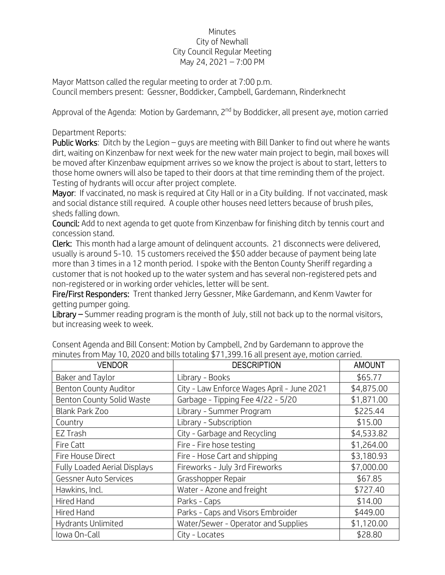## Minutes City of Newhall City Council Regular Meeting May 24, 2021 – 7:00 PM

Mayor Mattson called the regular meeting to order at 7:00 p.m. Council members present: Gessner, Boddicker, Campbell, Gardemann, Rinderknecht

Approval of the Agenda: Motion by Gardemann, 2<sup>nd</sup> by Boddicker, all present aye, motion carried

## Department Reports:

Public Works: Ditch by the Legion – guys are meeting with Bill Danker to find out where he wants dirt, waiting on Kinzenbaw for next week for the new water main project to begin, mail boxes will be moved after Kinzenbaw equipment arrives so we know the project is about to start, letters to those home owners will also be taped to their doors at that time reminding them of the project. Testing of hydrants will occur after project complete.

Mayor: If vaccinated, no mask is required at City Hall or in a City building. If not vaccinated, mask and social distance still required. A couple other houses need letters because of brush piles, sheds falling down.

Council: Add to next agenda to get quote from Kinzenbaw for finishing ditch by tennis court and concession stand.

Clerk: This month had a large amount of delinquent accounts. 21 disconnects were delivered, usually is around 5-10. 15 customers received the \$50 adder because of payment being late more than 3 times in a 12 month period. I spoke with the Benton County Sheriff regarding a customer that is not hooked up to the water system and has several non-registered pets and non-registered or in working order vehicles, letter will be sent.

Fire/First Responders: Trent thanked Jerry Gessner, Mike Gardemann, and Kenm Vawter for getting pumper going.

Library – Summer reading program is the month of July, still not back up to the normal visitors, but increasing week to week.

| <b>VENDOR</b>                | <b>DESCRIPTION</b>                         | <b>AMOUNT</b> |
|------------------------------|--------------------------------------------|---------------|
| Baker and Taylor             | Library - Books                            | \$65.77       |
| <b>Benton County Auditor</b> | City - Law Enforce Wages April - June 2021 | \$4,875.00    |
| Benton County Solid Waste    | Garbage - Tipping Fee 4/22 - 5/20          | \$1,871.00    |
| Blank Park Zoo               | Library - Summer Program                   | \$225.44      |
| Country                      | Library - Subscription                     | \$15.00       |
| EZ Trash                     | City - Garbage and Recycling               | \$4,533.82    |
| Fire Catt                    | Fire - Fire hose testing                   | \$1,264.00    |
| Fire House Direct            | Fire - Hose Cart and shipping              | \$3,180.93    |
| Fully Loaded Aerial Displays | Fireworks - July 3rd Fireworks             | \$7,000.00    |
| Gessner Auto Services        | Grasshopper Repair                         | \$67.85       |
| Hawkins, Incl.               | Water - Azone and freight                  | \$727.40      |
| Hired Hand                   | Parks - Caps                               | \$14.00       |
| <b>Hired Hand</b>            | Parks - Caps and Visors Embroider          | \$449.00      |
| Hydrants Unlimited           | Water/Sewer - Operator and Supplies        | \$1,120.00    |
| Iowa On-Call                 | City - Locates                             | \$28.80       |

Consent Agenda and Bill Consent: Motion by Campbell, 2nd by Gardemann to approve the minutes from May 10, 2020 and bills totaling \$71,399.16 all present aye, motion carried.